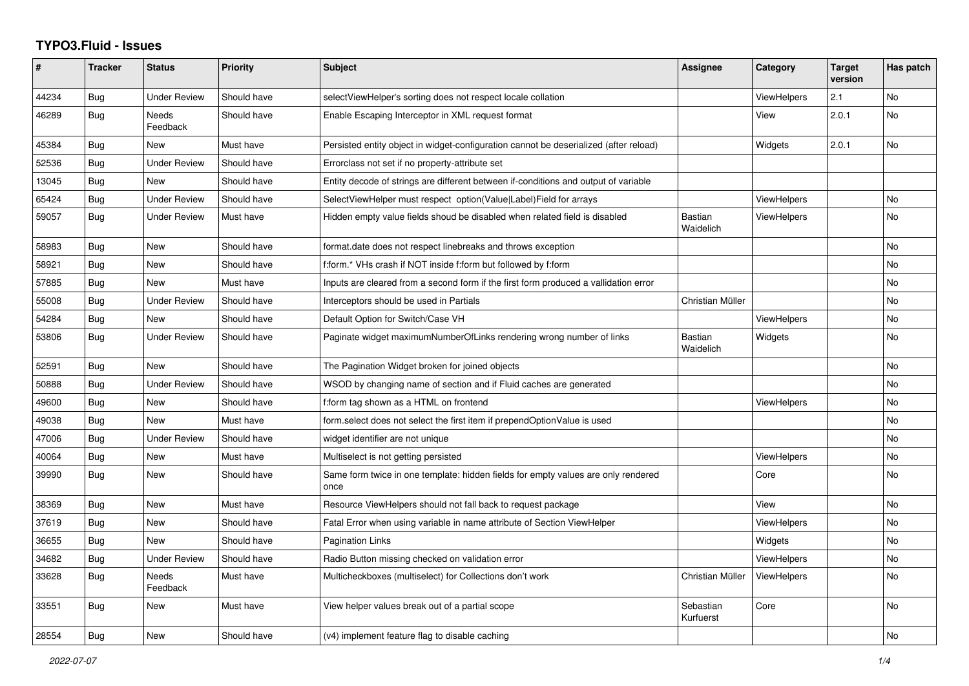## **TYPO3.Fluid - Issues**

| ∦     | <b>Tracker</b> | <b>Status</b>            | Priority    | <b>Subject</b>                                                                            | Assignee                    | Category           | <b>Target</b><br>version | Has patch      |
|-------|----------------|--------------------------|-------------|-------------------------------------------------------------------------------------------|-----------------------------|--------------------|--------------------------|----------------|
| 44234 | Bug            | Under Review             | Should have | selectViewHelper's sorting does not respect locale collation                              |                             | ViewHelpers        | 2.1                      | <b>No</b>      |
| 46289 | Bug            | <b>Needs</b><br>Feedback | Should have | Enable Escaping Interceptor in XML request format                                         |                             | View               | 2.0.1                    | <b>No</b>      |
| 45384 | Bug            | <b>New</b>               | Must have   | Persisted entity object in widget-configuration cannot be deserialized (after reload)     |                             | Widgets            | 2.0.1                    | <b>No</b>      |
| 52536 | <b>Bug</b>     | <b>Under Review</b>      | Should have | Errorclass not set if no property-attribute set                                           |                             |                    |                          |                |
| 13045 | Bug            | <b>New</b>               | Should have | Entity decode of strings are different between if-conditions and output of variable       |                             |                    |                          |                |
| 65424 | Bug            | <b>Under Review</b>      | Should have | SelectViewHelper must respect option(Value Label)Field for arrays                         |                             | <b>ViewHelpers</b> |                          | No             |
| 59057 | Bug            | <b>Under Review</b>      | Must have   | Hidden empty value fields shoud be disabled when related field is disabled                | <b>Bastian</b><br>Waidelich | ViewHelpers        |                          | N <sub>o</sub> |
| 58983 | Bug            | <b>New</b>               | Should have | format.date does not respect linebreaks and throws exception                              |                             |                    |                          | <b>No</b>      |
| 58921 | Bug            | New                      | Should have | f:form.* VHs crash if NOT inside f:form but followed by f:form                            |                             |                    |                          | No             |
| 57885 | Bug            | <b>New</b>               | Must have   | Inputs are cleared from a second form if the first form produced a vallidation error      |                             |                    |                          | No             |
| 55008 | Bug            | <b>Under Review</b>      | Should have | Interceptors should be used in Partials                                                   | Christian Müller            |                    |                          | <b>No</b>      |
| 54284 | Bug            | New                      | Should have | Default Option for Switch/Case VH                                                         |                             | <b>ViewHelpers</b> |                          | No             |
| 53806 | Bug            | Under Review             | Should have | Paginate widget maximumNumberOfLinks rendering wrong number of links                      | <b>Bastian</b><br>Waidelich | Widgets            |                          | No             |
| 52591 | Bug            | <b>New</b>               | Should have | The Pagination Widget broken for joined objects                                           |                             |                    |                          | <b>No</b>      |
| 50888 | <b>Bug</b>     | <b>Under Review</b>      | Should have | WSOD by changing name of section and if Fluid caches are generated                        |                             |                    |                          | <b>No</b>      |
| 49600 | Bug            | New                      | Should have | f:form tag shown as a HTML on frontend                                                    |                             | ViewHelpers        |                          | No             |
| 49038 | Bug            | New                      | Must have   | form.select does not select the first item if prependOptionValue is used                  |                             |                    |                          | No             |
| 47006 | Bug            | <b>Under Review</b>      | Should have | widget identifier are not unique                                                          |                             |                    |                          | <b>No</b>      |
| 40064 | Bug            | <b>New</b>               | Must have   | Multiselect is not getting persisted                                                      |                             | <b>ViewHelpers</b> |                          | <b>No</b>      |
| 39990 | Bug            | New                      | Should have | Same form twice in one template: hidden fields for empty values are only rendered<br>once |                             | Core               |                          | No             |
| 38369 | Bug            | <b>New</b>               | Must have   | Resource ViewHelpers should not fall back to request package                              |                             | View               |                          | <b>No</b>      |
| 37619 | Bug            | <b>New</b>               | Should have | Fatal Error when using variable in name attribute of Section ViewHelper                   |                             | <b>ViewHelpers</b> |                          | <b>No</b>      |
| 36655 | Bug            | <b>New</b>               | Should have | Pagination Links                                                                          |                             | Widgets            |                          | No             |
| 34682 | Bug            | Under Review             | Should have | Radio Button missing checked on validation error                                          |                             | <b>ViewHelpers</b> |                          | <b>No</b>      |
| 33628 | Bug            | <b>Needs</b><br>Feedback | Must have   | Multicheckboxes (multiselect) for Collections don't work                                  | Christian Müller            | ViewHelpers        |                          | <b>No</b>      |
| 33551 | Bug            | <b>New</b>               | Must have   | View helper values break out of a partial scope                                           | Sebastian<br>Kurfuerst      | Core               |                          | <b>No</b>      |
| 28554 | Bug            | New                      | Should have | (v4) implement feature flag to disable caching                                            |                             |                    |                          | No             |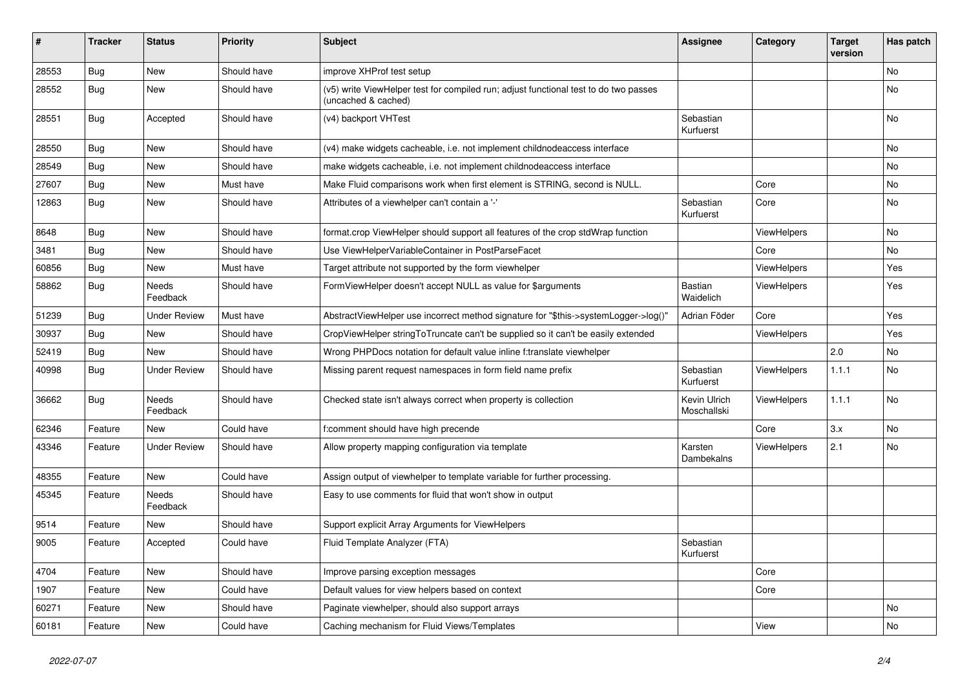| $\vert$ # | <b>Tracker</b> | <b>Status</b>            | <b>Priority</b> | <b>Subject</b>                                                                                              | <b>Assignee</b>             | Category           | <b>Target</b><br>version | Has patch |
|-----------|----------------|--------------------------|-----------------|-------------------------------------------------------------------------------------------------------------|-----------------------------|--------------------|--------------------------|-----------|
| 28553     | <b>Bug</b>     | <b>New</b>               | Should have     | improve XHProf test setup                                                                                   |                             |                    |                          | <b>No</b> |
| 28552     | Bug            | New                      | Should have     | (v5) write ViewHelper test for compiled run; adjust functional test to do two passes<br>(uncached & cached) |                             |                    |                          | <b>No</b> |
| 28551     | Bug            | Accepted                 | Should have     | (v4) backport VHTest                                                                                        | Sebastian<br>Kurfuerst      |                    |                          | No        |
| 28550     | Bug            | New                      | Should have     | (v4) make widgets cacheable, i.e. not implement childnodeaccess interface                                   |                             |                    |                          | No        |
| 28549     | Bug            | New                      | Should have     | make widgets cacheable, i.e. not implement childnodeaccess interface                                        |                             |                    |                          | No        |
| 27607     | Bug            | New                      | Must have       | Make Fluid comparisons work when first element is STRING, second is NULL.                                   |                             | Core               |                          | No        |
| 12863     | Bug            | New                      | Should have     | Attributes of a viewhelper can't contain a '-'                                                              | Sebastian<br>Kurfuerst      | Core               |                          | No        |
| 8648      | <b>Bug</b>     | <b>New</b>               | Should have     | format.crop ViewHelper should support all features of the crop stdWrap function                             |                             | <b>ViewHelpers</b> |                          | <b>No</b> |
| 3481      | Bug            | <b>New</b>               | Should have     | Use ViewHelperVariableContainer in PostParseFacet                                                           |                             | Core               |                          | <b>No</b> |
| 60856     | <b>Bug</b>     | <b>New</b>               | Must have       | Target attribute not supported by the form viewhelper                                                       |                             | <b>ViewHelpers</b> |                          | Yes       |
| 58862     | Bug            | Needs<br>Feedback        | Should have     | FormViewHelper doesn't accept NULL as value for \$arguments                                                 | <b>Bastian</b><br>Waidelich | <b>ViewHelpers</b> |                          | Yes       |
| 51239     | Bug            | Under Review             | Must have       | AbstractViewHelper use incorrect method signature for "\$this->systemLogger->log()"                         | Adrian Föder                | Core               |                          | Yes       |
| 30937     | Bug            | New                      | Should have     | CropViewHelper stringToTruncate can't be supplied so it can't be easily extended                            |                             | ViewHelpers        |                          | Yes       |
| 52419     | Bug            | New                      | Should have     | Wrong PHPDocs notation for default value inline f:translate viewhelper                                      |                             |                    | 2.0                      | No        |
| 40998     | Bug            | <b>Under Review</b>      | Should have     | Missing parent request namespaces in form field name prefix                                                 | Sebastian<br>Kurfuerst      | ViewHelpers        | 1.1.1                    | No        |
| 36662     | Bug            | <b>Needs</b><br>Feedback | Should have     | Checked state isn't always correct when property is collection                                              | Kevin Ulrich<br>Moschallski | ViewHelpers        | 1.1.1                    | No        |
| 62346     | Feature        | <b>New</b>               | Could have      | f:comment should have high precende                                                                         |                             | Core               | 3.x                      | No        |
| 43346     | Feature        | <b>Under Review</b>      | Should have     | Allow property mapping configuration via template                                                           | Karsten<br>Dambekalns       | ViewHelpers        | 2.1                      | No        |
| 48355     | Feature        | <b>New</b>               | Could have      | Assign output of viewhelper to template variable for further processing.                                    |                             |                    |                          |           |
| 45345     | Feature        | <b>Needs</b><br>Feedback | Should have     | Easy to use comments for fluid that won't show in output                                                    |                             |                    |                          |           |
| 9514      | Feature        | New                      | Should have     | Support explicit Array Arguments for ViewHelpers                                                            |                             |                    |                          |           |
| 9005      | Feature        | Accepted                 | Could have      | Fluid Template Analyzer (FTA)                                                                               | Sebastian<br>Kurfuerst      |                    |                          |           |
| 4704      | Feature        | New                      | Should have     | Improve parsing exception messages                                                                          |                             | Core               |                          |           |
| 1907      | Feature        | <b>New</b>               | Could have      | Default values for view helpers based on context                                                            |                             | Core               |                          |           |
| 60271     | Feature        | New                      | Should have     | Paginate viewhelper, should also support arrays                                                             |                             |                    |                          | No        |
| 60181     | Feature        | <b>New</b>               | Could have      | Caching mechanism for Fluid Views/Templates                                                                 |                             | View               |                          | No        |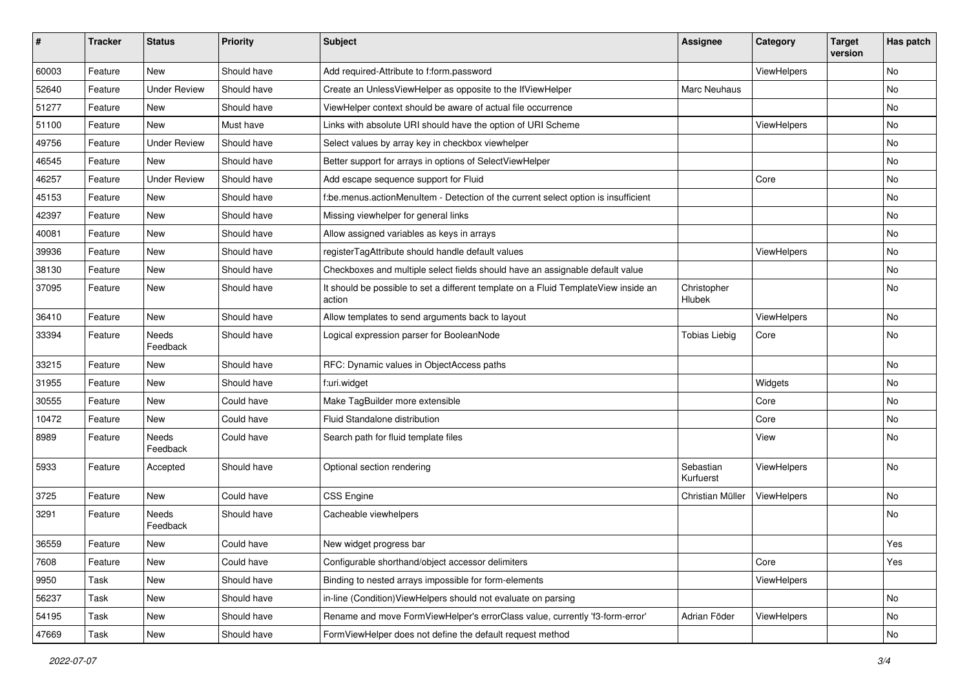| #     | <b>Tracker</b> | <b>Status</b>       | <b>Priority</b> | <b>Subject</b>                                                                                | Assignee               | Category    | <b>Target</b><br>version | Has patch |
|-------|----------------|---------------------|-----------------|-----------------------------------------------------------------------------------------------|------------------------|-------------|--------------------------|-----------|
| 60003 | Feature        | New                 | Should have     | Add required-Attribute to f:form.password                                                     |                        | ViewHelpers |                          | <b>No</b> |
| 52640 | Feature        | <b>Under Review</b> | Should have     | Create an UnlessViewHelper as opposite to the IfViewHelper                                    | Marc Neuhaus           |             |                          | No        |
| 51277 | Feature        | New                 | Should have     | ViewHelper context should be aware of actual file occurrence                                  |                        |             |                          | No        |
| 51100 | Feature        | <b>New</b>          | Must have       | Links with absolute URI should have the option of URI Scheme                                  |                        | ViewHelpers |                          | No        |
| 49756 | Feature        | <b>Under Review</b> | Should have     | Select values by array key in checkbox viewhelper                                             |                        |             |                          | No        |
| 46545 | Feature        | New                 | Should have     | Better support for arrays in options of SelectViewHelper                                      |                        |             |                          | No        |
| 46257 | Feature        | <b>Under Review</b> | Should have     | Add escape sequence support for Fluid                                                         |                        | Core        |                          | No        |
| 45153 | Feature        | New                 | Should have     | f:be.menus.actionMenuItem - Detection of the current select option is insufficient            |                        |             |                          | No        |
| 42397 | Feature        | New                 | Should have     | Missing viewhelper for general links                                                          |                        |             |                          | No        |
| 40081 | Feature        | New                 | Should have     | Allow assigned variables as keys in arrays                                                    |                        |             |                          | No        |
| 39936 | Feature        | New                 | Should have     | registerTagAttribute should handle default values                                             |                        | ViewHelpers |                          | No        |
| 38130 | Feature        | New                 | Should have     | Checkboxes and multiple select fields should have an assignable default value                 |                        |             |                          | No        |
| 37095 | Feature        | New                 | Should have     | It should be possible to set a different template on a Fluid TemplateView inside an<br>action | Christopher<br>Hlubek  |             |                          | No        |
| 36410 | Feature        | New                 | Should have     | Allow templates to send arguments back to layout                                              |                        | ViewHelpers |                          | No        |
| 33394 | Feature        | Needs<br>Feedback   | Should have     | Logical expression parser for BooleanNode                                                     | <b>Tobias Liebig</b>   | Core        |                          | No        |
| 33215 | Feature        | New                 | Should have     | RFC: Dynamic values in ObjectAccess paths                                                     |                        |             |                          | No        |
| 31955 | Feature        | New                 | Should have     | f:uri.widget                                                                                  |                        | Widgets     |                          | No        |
| 30555 | Feature        | New                 | Could have      | Make TagBuilder more extensible                                                               |                        | Core        |                          | No        |
| 10472 | Feature        | New                 | Could have      | Fluid Standalone distribution                                                                 |                        | Core        |                          | No        |
| 8989  | Feature        | Needs<br>Feedback   | Could have      | Search path for fluid template files                                                          |                        | View        |                          | No        |
| 5933  | Feature        | Accepted            | Should have     | Optional section rendering                                                                    | Sebastian<br>Kurfuerst | ViewHelpers |                          | No        |
| 3725  | Feature        | New                 | Could have      | CSS Engine                                                                                    | Christian Müller       | ViewHelpers |                          | No        |
| 3291  | Feature        | Needs<br>Feedback   | Should have     | Cacheable viewhelpers                                                                         |                        |             |                          | No        |
| 36559 | Feature        | New                 | Could have      | New widget progress bar                                                                       |                        |             |                          | Yes       |
| 7608  | Feature        | New                 | Could have      | Configurable shorthand/object accessor delimiters                                             |                        | Core        |                          | Yes       |
| 9950  | Task           | New                 | Should have     | Binding to nested arrays impossible for form-elements                                         |                        | ViewHelpers |                          |           |
| 56237 | Task           | New                 | Should have     | in-line (Condition) ViewHelpers should not evaluate on parsing                                |                        |             |                          | No        |
| 54195 | Task           | New                 | Should have     | Rename and move FormViewHelper's errorClass value, currently 'f3-form-error'                  | Adrian Föder           | ViewHelpers |                          | No        |
| 47669 | Task           | New                 | Should have     | FormViewHelper does not define the default request method                                     |                        |             |                          | No        |